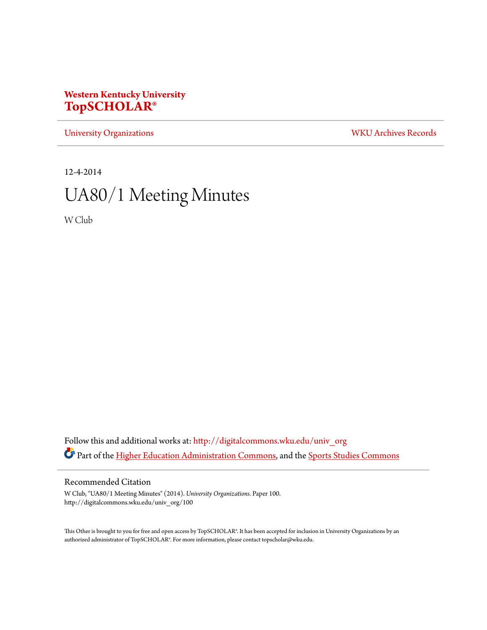# **Western Kentucky University [TopSCHOLAR®](http://digitalcommons.wku.edu?utm_source=digitalcommons.wku.edu%2Funiv_org%2F100&utm_medium=PDF&utm_campaign=PDFCoverPages)**

[University Organizations](http://digitalcommons.wku.edu/univ_org?utm_source=digitalcommons.wku.edu%2Funiv_org%2F100&utm_medium=PDF&utm_campaign=PDFCoverPages) [WKU Archives Records](http://digitalcommons.wku.edu/dlsc_ua_records?utm_source=digitalcommons.wku.edu%2Funiv_org%2F100&utm_medium=PDF&utm_campaign=PDFCoverPages)

12-4-2014

# UA80/1 Meeting Minutes

W Club

Follow this and additional works at: [http://digitalcommons.wku.edu/univ\\_org](http://digitalcommons.wku.edu/univ_org?utm_source=digitalcommons.wku.edu%2Funiv_org%2F100&utm_medium=PDF&utm_campaign=PDFCoverPages) Part of the [Higher Education Administration Commons](http://network.bepress.com/hgg/discipline/791?utm_source=digitalcommons.wku.edu%2Funiv_org%2F100&utm_medium=PDF&utm_campaign=PDFCoverPages), and the [Sports Studies Commons](http://network.bepress.com/hgg/discipline/1198?utm_source=digitalcommons.wku.edu%2Funiv_org%2F100&utm_medium=PDF&utm_campaign=PDFCoverPages)

# Recommended Citation

W Club, "UA80/1 Meeting Minutes" (2014). *University Organizations.* Paper 100. http://digitalcommons.wku.edu/univ\_org/100

This Other is brought to you for free and open access by TopSCHOLAR®. It has been accepted for inclusion in University Organizations by an authorized administrator of TopSCHOLAR®. For more information, please contact topscholar@wku.edu.